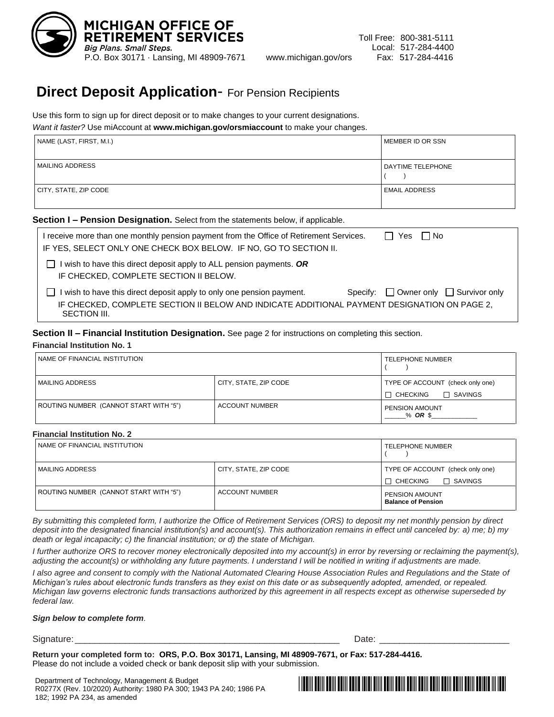

# **Direct Deposit Application**- For Pension Recipients

Use this form to sign up for direct deposit or to make changes to your current designations. *Want it faster?* Use miAccount at **www.michigan.gov/orsmiaccount** to make your changes.

| <i>Viant it faster?</i> Use miAccount at <b>www.michigan.gov/orsmiaccount</b> to make your changes. |                          |  |
|-----------------------------------------------------------------------------------------------------|--------------------------|--|
| NAME (LAST, FIRST, M.I.)                                                                            | MEMBER ID OR SSN         |  |
| I MAILING ADDRESS                                                                                   | <b>DAYTIME TELEPHONE</b> |  |
| CITY, STATE, ZIP CODE                                                                               | <b>EMAIL ADDRESS</b>     |  |

# **Section I – Pension Designation.** Select from the statements below, if applicable.

| I receive more than one monthly pension payment from the Office of Retirement Services.<br>∣ Yes<br>l INo<br>IF YES, SELECT ONLY ONE CHECK BOX BELOW. IF NO, GO TO SECTION II.                                                           |  |
|------------------------------------------------------------------------------------------------------------------------------------------------------------------------------------------------------------------------------------------|--|
| I wish to have this direct deposit apply to ALL pension payments. OR<br>IF CHECKED, COMPLETE SECTION II BELOW.                                                                                                                           |  |
| Specify: $\Box$ Owner only $\Box$ Survivor only<br>I wish to have this direct deposit apply to only one pension payment.<br>IF CHECKED, COMPLETE SECTION II BELOW AND INDICATE ADDITIONAL PAYMENT DESIGNATION ON PAGE 2,<br>SECTION III. |  |

# **Section II – Financial Institution Designation.** See page 2 for instructions on completing this section. **Financial Institution No. 1**

| NAME OF FINANCIAL INSTITUTION          |                       | I TELEPHONE NUMBER                                                    |
|----------------------------------------|-----------------------|-----------------------------------------------------------------------|
| MAILING ADDRESS                        | CITY, STATE, ZIP CODE | TYPE OF ACCOUNT (check only one)<br>$\Box$ SAVINGS<br>$\Box$ CHECKING |
| ROUTING NUMBER (CANNOT START WITH "5") | <b>ACCOUNT NUMBER</b> | <b>PENSION AMOUNT</b><br>$%$ OR \$                                    |

# **Financial Institution No. 2**

| NAME OF FINANCIAL INSTITUTION          |                       | <b>TELEPHONE NUMBER</b>                                               |
|----------------------------------------|-----------------------|-----------------------------------------------------------------------|
| MAILING ADDRESS                        | CITY, STATE, ZIP CODE | TYPE OF ACCOUNT (check only one)<br>$\Box$ SAVINGS<br>$\Box$ CHECKING |
| ROUTING NUMBER (CANNOT START WITH "5") | <b>ACCOUNT NUMBER</b> | <b>PENSION AMOUNT</b><br><b>Balance of Pension</b>                    |

*By submitting this completed form, I authorize the Office of Retirement Services (ORS) to deposit my net monthly pension by direct deposit into the designated financial institution(s) and account(s). This authorization remains in effect until canceled by: a) me; b) my death or legal incapacity; c) the financial institution; or d) the state of Michigan.*

*I further authorize ORS to recover money electronically deposited into my account(s) in error by reversing or reclaiming the payment(s),*  adjusting the account(s) or withholding any future payments. I understand I will be notified in writing if adjustments are made.

*I also agree and consent to comply with the National Automated Clearing House Association Rules and Regulations and the State of Michigan's rules about electronic funds transfers as they exist on this date or as subsequently adopted, amended, or repealed. Michigan law governs electronic funds transactions authorized by this agreement in all respects except as otherwise superseded by federal law.* 

# *Sign below to complete form.*

# Signature:\_\_\_\_\_\_\_\_\_\_\_\_\_\_\_\_\_\_\_\_\_\_\_\_\_\_\_\_\_\_\_\_\_\_\_\_\_\_\_\_\_\_\_\_\_\_\_\_\_\_\_\_\_ Date: \_\_\_\_\_\_\_\_\_\_\_\_\_\_\_\_\_\_\_\_\_\_\_\_\_\_

**Return your completed form to: ORS, P.O. Box 30171, Lansing, MI 48909-7671, or Fax: 517-284-4416.** Please do not include a voided check or bank deposit slip with your submission.

Department of Technology, Management & Budget R0277X (Rev. 10/2020) Authority: 1980 PA 300; 1943 PA 240; 1986 PA 182; 1992 PA 234, as amended